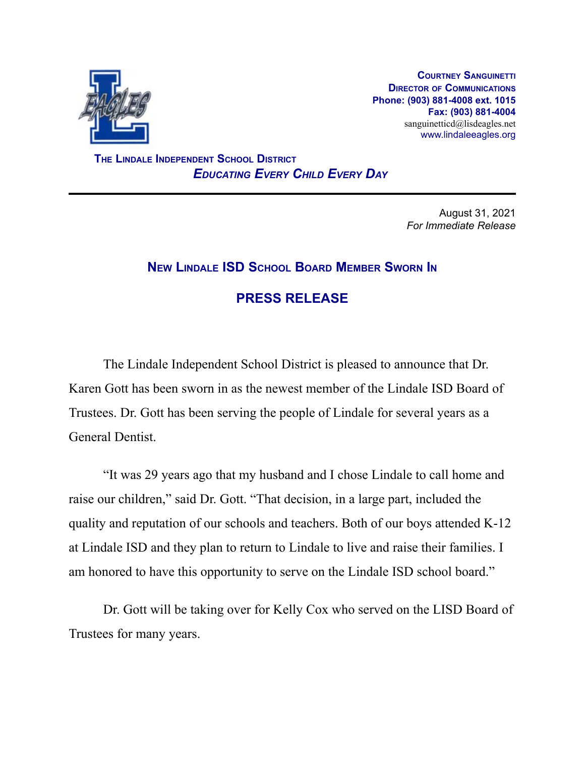

**COURTNEY SANGUINETTI DIRECTOR OF COMMUNICATIONS Phone: (903) 881-4008 ext. 1015 Fax: (903) 881-4004** sanguinetticd@lisdeagles.net www.lindaleeagles.org

**THE LINDALE INDEPENDENT SCHOOL DISTRICT** *EDUCATING EVERY CHILD EVERY DAY*

> August 31, 2021 *For Immediate Release*

## **NEW LINDALE ISD SCHOOL BOARD MEMBER SWORN IN**

## **PRESS RELEASE**

The Lindale Independent School District is pleased to announce that Dr. Karen Gott has been sworn in as the newest member of the Lindale ISD Board of Trustees. Dr. Gott has been serving the people of Lindale for several years as a General Dentist.

"It was 29 years ago that my husband and I chose Lindale to call home and raise our children," said Dr. Gott. "That decision, in a large part, included the quality and reputation of our schools and teachers. Both of our boys attended K-12 at Lindale ISD and they plan to return to Lindale to live and raise their families. I am honored to have this opportunity to serve on the Lindale ISD school board."

Dr. Gott will be taking over for Kelly Cox who served on the LISD Board of Trustees for many years.